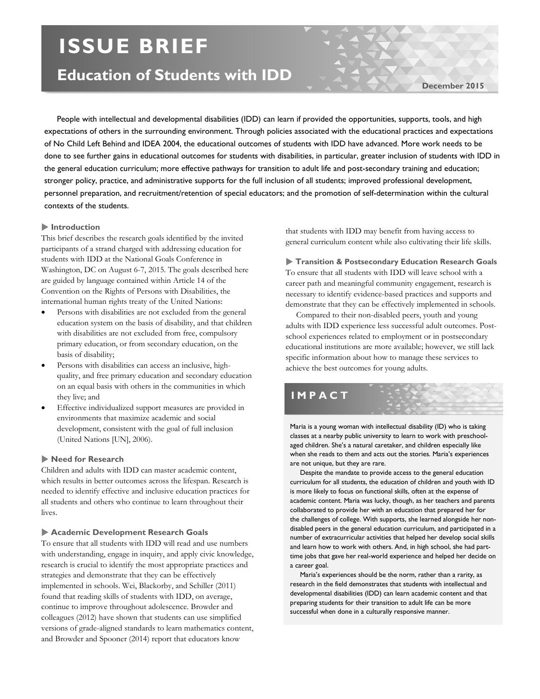# **ISSUE BRIEF**

## **Education of Students with IDD**

**December 2015**

People with intellectual and developmental disabilities (IDD) can learn if provided the opportunities, supports, tools, and high expectations of others in the surrounding environment. Through policies associated with the educational practices and expectations of No Child Left Behind and IDEA 2004, the educational outcomes of students with IDD have advanced. More work needs to be done to see further gains in educational outcomes for students with disabilities, in particular, greater inclusion of students with IDD in the general education curriculum; more effective pathways for transition to adult life and post-secondary training and education; stronger policy, practice, and administrative supports for the full inclusion of all students; improved professional development, personnel preparation, and recruitment/retention of special educators; and the promotion of self-determination within the cultural contexts of the students.

#### **Introduction**

This brief describes the research goals identified by the invited participants of a strand charged with addressing education for students with IDD at the National Goals Conference in Washington, DC on August 6-7, 2015. The goals described here are guided by language contained within Article 14 of the Convention on the Rights of Persons with Disabilities, the international human rights treaty of the United Nations:

- Persons with disabilities are not excluded from the general education system on the basis of disability, and that children with disabilities are not excluded from free, compulsory primary education, or from secondary education, on the basis of disability;
- Persons with disabilities can access an inclusive, highquality, and free primary education and secondary education on an equal basis with others in the communities in which they live; and
- Effective individualized support measures are provided in environments that maximize academic and social development, consistent with the goal of full inclusion (United Nations [UN], 2006).

#### **Need for Research**

Children and adults with IDD can master academic content, which results in better outcomes across the lifespan. Research is needed to identify effective and inclusive education practices for all students and others who continue to learn throughout their lives.

#### **Academic Development Research Goals**

To ensure that all students with IDD will read and use numbers with understanding, engage in inquiry, and apply civic knowledge, research is crucial to identify the most appropriate practices and strategies and demonstrate that they can be effectively implemented in schools. Wei, Blackorby, and Schiller (2011) found that reading skills of students with IDD, on average, continue to improve throughout adolescence. Browder and colleagues (2012) have shown that students can use simplified versions of grade-aligned standards to learn mathematics content, and Browder and Spooner (2014) report that educators know

that students with IDD may benefit from having access to general curriculum content while also cultivating their life skills.

 **Transition & Postsecondary Education Research Goals** To ensure that all students with IDD will leave school with a career path and meaningful community engagement, research is necessary to identify evidence-based practices and supports and demonstrate that they can be effectively implemented in schools.

 Compared to their non-disabled peers, youth and young adults with IDD experience less successful adult outcomes. Postschool experiences related to employment or in postsecondary educational institutions are more available; however, we still lack specific information about how to manage these services to achieve the best outcomes for young adults.

### **IMPACT**

Maria is a young woman with intellectual disability (ID) who is taking classes at a nearby public university to learn to work with preschoolaged children. She's a natural caretaker, and children especially like when she reads to them and acts out the stories. Maria's experiences are not unique, but they are rare.

 Despite the mandate to provide access to the general education curriculum for all students, the education of children and youth with ID is more likely to focus on functional skills, often at the expense of academic content. Maria was lucky, though, as her teachers and parents collaborated to provide her with an education that prepared her for the challenges of college. With supports, she learned alongside her nondisabled peers in the general education curriculum, and participated in a number of extracurricular activities that helped her develop social skills and learn how to work with others. And, in high school, she had parttime jobs that gave her real-world experience and helped her decide on a career goal.

 Maria's experiences should be the norm, rather than a rarity, as research in the field demonstrates that students with intellectual and developmental disabilities (IDD) can learn academic content and that preparing students for their transition to adult life can be more successful when done in a culturally responsive manner.